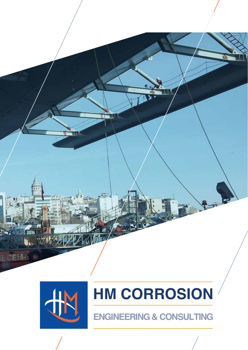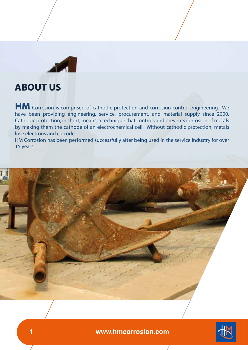

# **ABOUT US**

**HM** Corrosion is comprised of cathodic protection and corrosion control engineering. We have been providing engineering, service, procurement, and material supply since 2000. Cathodic protection, in short, means; a technique that controls and prevents corrosion of metals by making them the cathode of an electrochemical cell. Without cathodic protection, metals lose electrons and corrode.

HM Corrosion has been performed successfully after being used in the service industry for over 15 years.



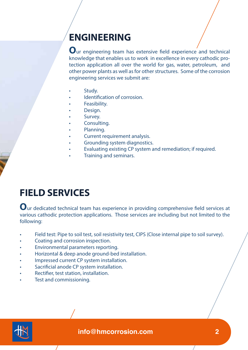# **ENGINEERING**

Our engineering team has extensive field experience and technical knowledge that enables us to work in excellence in every cathodic protection application all over the world for gas, water, petroleum, and other power plants as well as for other structures. Some of the corrosion engineering services we submit are:

- Study.
- Identification of corrosion.
- Feasibility.
- Design.
- Survey.
- Consulting.
- Planning.
- Current requirement analysis.
- Grounding system diagnostics.
- Evaluating existing CP system and remediation; if required.
- Training and seminars.

# **FIELD SERVICES**

Our dedicated technical team has experience in providing comprehensive field services at various cathodic protection applications. Those services are including but not limited to the following:

- Field test: Pipe to soil test, soil resistivity test, CIPS (Close internal pipe to soil survey).
- Coating and corrosion inspection.
- Environmental parameters reporting.
- Horizontal & deep anode ground-bed installation.
- Impressed current CP system installation.
- Sacrificial anode CP system installation.
- Rectifier, test station, installation.
- Test and commissioning.

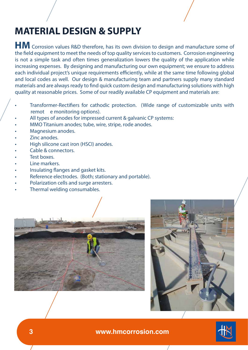# **MATERIAL DESIGN & SUPPLY**

**HM** Corrosion values R&D therefore, has its own division to design and manufacture some of the field equipment to meet the needs of top quality services to customers. Corrosion engineering is not a simple task and often times generalization lowers the quality of the application while increasing expenses. By designing and manufacturing our own equipment; we ensure to address each individual project's unique requirements efficiently, while at the same time following global and local codes as well. Our design & manufacturing team and partners supply many standard materials and are always ready to find quick custom design and manufacturing solutions with high quality at reasonable prices. Some of our readily available CP equipment and materials are:

- Transformer-Rectifiers for cathodic protection. (Wide range of customizable units with remot e monitoring options).
- All types of anodes for impressed current & galvanic CP systems:
- MMO Titanium anodes; tube, wire, stripe, rode anodes.
- Magnesium anodes.
- Zinc anodes.
- High silicone cast iron (HSCI) anodes.
- Cable & connectors.
- Test boxes.
- Line markers.
- Insulating flanges and gasket kits.
- Reference electrodes. (Both; stationary and portable).
- Polarization cells and surge arresters.
- Thermal welding consumables.





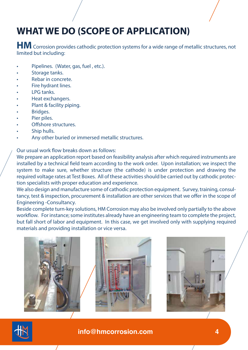# **WHAT WE DO (SCOPE OF APPLICATION)**

**HM** Corrosion provides cathodic protection systems for a wide range of metallic structures, not limited but including:

- Pipelines. (Water, gas, fuel, etc.).
- Storage tanks.
- Rebar in concrete.
- Fire hydrant lines.
- LPG tanks.
- Heat exchangers.
- Plant & facility piping.
- Bridges.
- Pier piles.
- Offshore structures.
- Ship hulls.
- Any other buried or immersed metallic structures.

Our usual work flow breaks down as follows:

We prepare an application report based on feasibility analysis after which required instruments are installed by a technical field team according to the work order. Upon installation; we inspect the system to make sure, whether structure (the cathode) is under protection and drawing the required voltage rates at Test Boxes. All of these activities should be carried out by cathodic protection specialists with proper education and experience.

We also design and manufacture some of cathodic protection equipment. Survey, training, consultancy, test & inspection, procurement & installation are other services that we offer in the scope of Engineering -Consultancy.

Beside complete turn-key solutions, HM Corrosion may also be involved only partially to the above workflow. For instance; some institutes already have an engineering team to complete the project, but fall short of labor and equipment. In this case, we get involved only with supplying required materials and providing installation or vice versa.



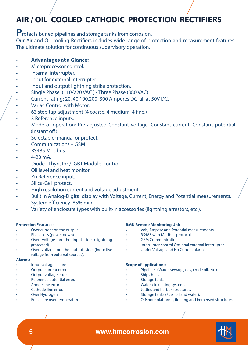# **AIR / OIL COOLED CATHODIC PROTECTION RECTIFIERS**

## **P**rotects buried pipelines and storage tanks from corrosion.

Our Air and Oil cooling Rectifiers includes wide range of protection and measurement features. The ultimate solution for continuous supervisory operation.

#### • **Advantages at a Glance:**

- Microprocessor control.
- Internal interrupter.
- Input for external interrupter.
- Input and output lightning strike protection.
- Single Phase (110/220 VAC ) Three Phase (380 VAC).
- Current rating: 20, 40,100,200 ,300 Amperes DC all at 50V DC.
- Variac Control with Motor.
- 63 step tap adjustment (4 coarse, 4 medium, 4 fine.)
- 3 Reference inputs.
- Mode of operation: Pre-adjusted Constant voltage, Constant current, Constant potential  $($ Instant off $).$
- Selectable; manual or protect.
- Communications GSM.
- RS485 Modbus.
- $4 20$  mA.
- Diode –Thyristor / IGBT Module control.
- Oil level and heat monitor.
- Zn Reference input.
- Silica-Gel protect.
- High resolution current and voltage adjustment.
- Built in Analog-Digital display with Voltage, Current, Energy and Potential measurements.
- System efficiency: 85% min.
- Variety of enclosure types with built-in accessories (lightning arrestors, etc.).

#### **Protection Features:**

- Over current on the output.
- Phase loss (power down).
- Over voltage on the input side (Lightning protected).
- Over voltage on the output side (Inductive voltage from external sources).

#### **Alarms:**

- Input voltage failure.
- Output current error.
- Output voltage error.
- Reference potential error.
- Anode line error.
- Cathode line error.
- Over Hydrogen.
- Enclosure over temperature.

#### **RMU Remote Monitoring Unit:**

- Volt, Ampere and Potential measurements.
- RS485 with Modbus protocol.
- GSM Communication.
- Interrupter control Optional external interrupter.
- Under Voltage and No Current alarm.

#### **Scope of applications:**

- Pipelines (Water, sewage, gas, crude oil, etc.).
- Ships hulls.
- Storage tanks.
- Water-circulating systems.
- Jetties and harbor structures.
- Storage tanks (Fuel, oil and water).
- Offshore platforms, floating and immersed structures.

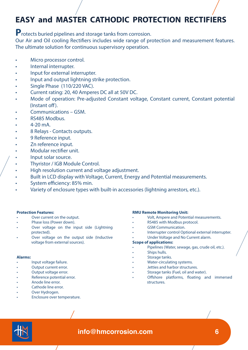# **EASY and MASTER CATHODIC PROTECTION RECTIFIERS**

## **P**rotects buried pipelines and storage tanks from corrosion.

Our Air and Oil cooling Rectifiers includes wide range of protection and measurement features. The ultimate solution for continuous supervisory operation.

- Micro processor control.
- Internal interrupter.
- Input for external interrupter.
- Input and output lightning strike protection.
- Single Phase (110/220 VAC).
- Current rating: 20, 40 Amperes DC all at 50V DC.
- Mode of operation: Pre-adjusted Constant voltage, Constant current, Constant potential (Instant off).
- Communications GSM.
- RS485 Modbus.
- $4 20$  mA.
- 8 Relays Contacts outputs.
- 9 Reference input.
- Zn reference input.
- Modular rectifier unit.
- Input solar source.
- Thyristor / IGB Module Control.
- High resolution current and voltage adjustment.
- Built in LCD display with Voltage, Current, Energy and Potential measurements.
- System efficiency: 85% min.
- Variety of enclosure types with built-in accessories (lightning arrestors, etc.).

#### **Protection Features:**

- Over current on the output.
- Phase loss (Power down).
- Over voltage on the input side (Lightning protected).
- Over voltage on the output side (Inductive voltage from external sources).

#### **Alarms:**

- Input voltage failure.
- Output current error.
- Output voltage error.
- Reference potential error.
- Anode line error.
- Cathode line error.
- Over Hydrogen.
- Enclosure over temperature.

#### **RMU Remote Monitoring Unit:**

- Volt, Ampere and Potential measurements.
- RS485 with Modbus protocol.
- GSM Communication.
- Interrupter control Optional external interrupter.
- Under Voltage and No Current alarm.

#### **Scope of applications:**

- Pipelines (Water, sewage, gas, crude oil, etc.).
- Ships hulls.
- Storage tanks.
- Water-circulating systems.
- Jetties and harbor structures.
- Storage tanks (Fuel, oil and water).
- Offshore platforms, floating and immersed structures.

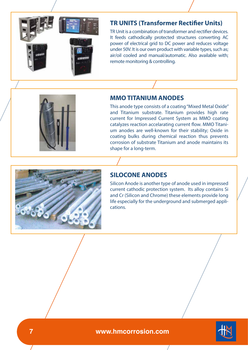

## **TR UNITS (Transformer Rectifier Units)**

TR Unit is a combination of transformer and rectifier devices. It feeds cathodically protected structures converting AC power of electrical grid to DC power and reduces voltage under 50V. It is our own product with variable types, such as; air/oil cooled and manual/automatic. Also available with; remote monitoring & controlling.

#### **MMO TITANIUM ANODES**

This anode type consists of a coating "Mixed Metal Oxide" and Titanium substrate. Titanium provides high rate current for Impressed Current System as MMO coating catalyzes reaction accelarating current flow. MMO Titanium anodes are well-known for their stability; Oxide in coating bulks during chemical reaction thus prevents corrosion of substrate Titanium and anode maintains its shape for a long-term.



#### **SILOCONE ANODES**

Silicon Anode is another type of anode used in impressed current cathodic protection system. Its alloy contains Si and Cr (Silicon and Chrome) these elements provide long life especially for the underground and submerged applications.

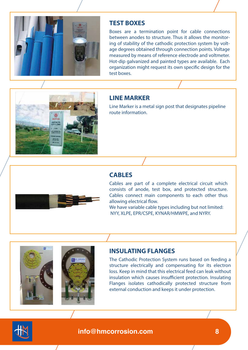

## **TEST BOXES**

Boxes are a termination point for cable connections between anodes to structure. Thus it allows the monitoring of stability of the cathodic protection system by voltage degrees obtained through connection points. Voltage measured by means of reference electrode and voltmeter. Hot-dip galvanized and painted types are available. Each organization might request its own specific design for the test boxes.



## **LINE MARKER**

Line Marker is a metal sign post that designates pipeline route information.



#### **CABLES**

Cables are part of a complete electrical circuit which consists of anode, test box, and protected structure. Cables connect main components to each other thus allowing electrical flow.

We have variable cable types including but not limited: NYY, XLPE, EPR/CSPE, KYNAR/HMWPE, and NYRY.





#### **INSULATING FLANGES**

The Cathodic Protection System runs based on feeding a structure electrically and compensating for its electron loss. Keep in mind that this electrical feed can leak without insulation which causes insufficient protection. Insulating Flanges isolates cathodically protected structure from external conduction and keeps it under protection.

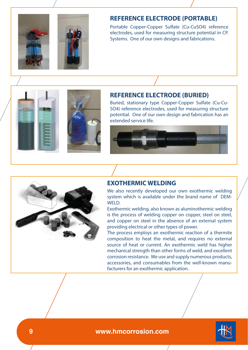



#### **REFERENCE ELECTRODE (PORTABLE)**

Portable Copper-Copper Sulfate (Cu-CuSO4) reference electrodes, used for measuring structure potential in CP. Systems. One of our own designs and fabrications.





#### **REFERENCE ELECTRODE (BURIED)**

Buried, stationary type Copper-Copper Sulfate (Cu-Cu-SO4) reference electrodes, used for measuring structure potential. One of our own design and fabrication has an extended service life.





### **EXOTHERMIC WELDING**

We also recently developed our own exothermic welding system which is available under the brand name of DEM-WELD.

Exothermic welding, also known as aluminothermic welding is the process of welding copper on copper, steel on steel, and copper on steel in the absence of an external system providing electrical or other types of power.

The process employs an exothermic reaction of a thermite composition to heat the metal, and requires no external source of heat or current. An exothermic weld has higher mechanical strength than other forms of weld, and excellent corrosion resistance. We use and supply numerous products, accessories, and consumables from the well-known manufacturers for an exothermic application.

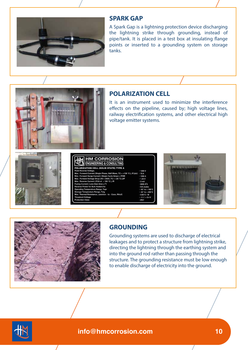

### **SPARK GAP**

A Spark Gap is a lightning protection device discharging the lightning strike through grounding, instead of pipe/tank. It is placed in a test box at insulating flange points or inserted to a grounding system on storage tanks.



## **POLARIZATION CELL**

It is an instrument used to minimize the interference effects on the pipeline, caused by; high voltage lines, railway electrification systems, and other electrical high voltage emitter systems.



# **HM CORROSION ENGINEERING & CONSULTING**





## **GROUNDING**

Grounding systems are used to discharge of electrical leakages and to protect a structure from lightning strike, directing the lightning through the earthing system and into the ground rod rather than passing through the structure. The grounding resistance must be low enough to enable discharge of electricity into the ground.

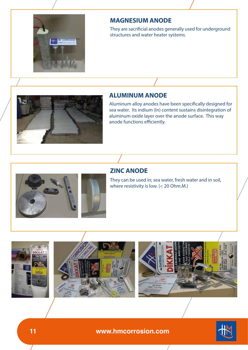

#### **MAGNESIUM ANODE**

They are sacrificial anodes generally used for underground structures and water heater systems.



#### **ALUMINUM ANODE**

Aluminum alloy anodes have been specifically designed for sea water. Its indium (In) content sustains disintegration of aluminum oxide layer over the anode surface. This way anode functions efficiently.

## **ZINC ANODE**

They can be used in; sea water, fresh water and in soil, where resistivity is low. (< 20 Ohm.M.)



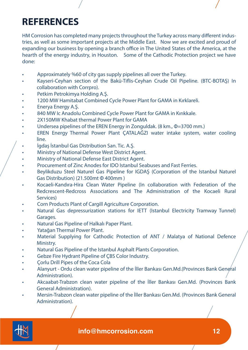HM Corrosion has completed many projects throughout the Turkey across many different industries, as well as some important projects at the Middle East. Now we are excited and proud of expanding our business by opening a branch office in The United States of the America, at the hearth of the energy industry, in Houston. Some of the Cathodic Protection project we have done:

- Approximately %60 of city gas supply pipelines all over the Turkey.
- Kayseri-Ceyhan section of the Bakü-Tiflis-Ceyhan Crude Oil Pipeline. (BTC-BOTAŞ) In collaboration with Corrpro).
- Petkim Petrokimya Holding A.Ş.
- 1200 MW Hamitabat Combined Cycle Power Plant for GAMA in Kırklareli.
- Enerya Energy A.Ş.
- 840 MW Ic Anadolu Combined Cycle Power Plant for GAMA in Kırıkkale.
- 2X150MW Khabat thermal Power Plant for GAMA
- Undersea pipelines of the EREN Energy in Zonguldak. (8 km., Φ=3700 mm.)
- EREN Energy Thermal Power Plant ÇATALAĞZI water intake system, water cooling line.
- İgdaş İstanbul Gas Distribution San. Tic. A.Ş.
- Ministry of National Defense West District Agent.
- Ministry of National Defense East District Agent.
- Procurement of Zinc Anodes for IDO Istanbul Seabuses and Fast Ferries.
- Beylikduzu Steel Naturel Gas Pipeline for IGDAŞ (Corporation of the Istanbul Naturel .............Gas Distribution) (21.500mt Φ 400mm )
- Kocaeli-Kandıra-Hira Clean Water Pipeline (In collaboration with Federation of the Redcrescent-Redcross Associations and The Administration of the Kocaeli Rural Services)
- Corn Products Plant of Cargill Agriculture Corporation.
- Natural Gas depressurization stations for IETT (Istanbul Electricity Tramway Tunnel) Garages.
- Natural Gas Pipeline of Halkalı Paper Plant.
- Yatağan Thermal Power Plant.
- Material Supplying for Cathodic Protection of ANT / Malatya of National Defence Ministry.
- Natural Gas Pipeline of the Istanbul Asphalt Plants Corporation.
- Gebze Fire Hydrant Pipeline of ÇBS Color Industry.
- Çorlu Drill Pipes of the Coca Cola
- Alanyurt Ordu clean water pipeline of the İller Bankası Gen.Md.(Provinces Bank General Administration).
- Akcaabat-Trabzon clean water pipeline of the İller Bankası Gen.Md. (Provinces Bank General Administration).
- Mersin-Trabzon clean water pipeline of the İller Bankası Gen.Md. (Provinces Bank General Administration).

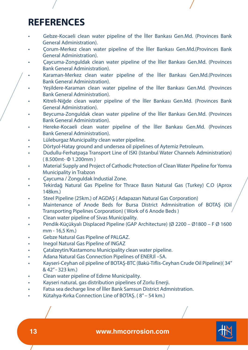- Gebze-Kocaeli clean water pipeline of the İller Bankası Gen.Md. (Provinces Bank General Administration).
- Çorum-Merkez clean water pipeline of the İller Bankası Gen.Md.(Provinces Bank General Administration).
- Çaycuma-Zonguldak clean water pipeline of the İller Bankası Gen.Md. (Provinces Bank General Administration).
- Karaman-Merkez clean water pipeline of the İller Bankası Gen.Md.(Provinces Bank General Administration).
- Yeşildere-Karaman clean water pipeline of the İller Bankası Gen.Md. (Provinces Bank General Administration).
- Kitreli-Niğde clean water pipeline of the İller Bankası Gen.Md. (Provinces Bank General Administration).
- Beycuma-Zonguldak clean water pipeline of the İller Bankası Gen.Md. (Provinces Bank General Administration).
- Hereke-Kocaeli clean water pipeline of the İller Bankası Gen.Md. (Provinces Bank General Administration).
- Lüleburgaz Municipality clean water pipeline.
- Dörtyol-Hatay ground and undersea oil pipelines of Aytemiz Petroleum.
- Dudullu-Ferhatpaşa Transport Line of ISKI (Istanbul Water Channels Administration)  $(8.500$ mt- $\Phi$  1.200mm)
- Material Supply and Project of Cathodic Protection of Clean Water Pipeline for Yomra **Municipality in Trabzon**
- Çaycuma / Zonguldak Industial Zone.
- Tekirdağ Natural Gas Pipeline for Thrace Basın Natural Gas (Turkey) C.O (Aprox 148km.)
- Steel Pipeline (25km.) of AGDAŞ ( Adapazarı Natural Gas Corporation)
- Maintenance of Anode Beds for Bursa District Admnisitration of BOTAŞ (Oil Transporting Pipelines Corporation) ( Work of 6 Anode Beds )
- Clean water pipeline of Sivas Municipality.
- Pendik-Küçükyalı Displaced Pipeline (GAP Architecture) (Ø 2200 Ø1800 F Ø 1600 mm - 16,5 Km.)
- Gebze Natural Gas Pipeline of PALGAZ.
- Inegol Natural Gas Pipeline of INGAZ
- Çatalzeytin/Kastamonu Municipality clean water pipeline.
- Adana Natural Gas Connection Pipelines of ENERJİ –SA.
- Kayseri-Ceyhan oil pipeline of BOTAŞ-BTC (Bakü-Tiis-Ceyhan Crude Oil Pipeline)( 34'' & 42" - 323 km.)
- Clean water pipeline of Edirne Municipality.
- Kayseri naturaL gas distribution pipelines of Zorlu Enerji.
- Fatsa sea decharge line of İller Bank Samsun District Admnistration.
- Kütahya-Kırka Connection Line of BOTAŞ. ( 8'' 54 km.)

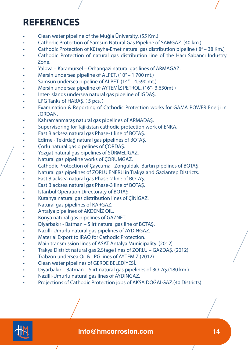- Clean water pipeline of the Muğla Üniversity. (55 Km.)
- Cathodic Protection of Samsun Natural Gas Pipeline of SAMGAZ. (40 km.)
- Cathodic Protection of Kütayha-Emet natural gas distribution pipeline ( 8'' 38 Km.)
- Cathodic Protection of natural gas distribution line of the Hacı Sabancı Industry Zone.
- Yalova Karamürsel Orhangazi natural gas lines of ARMAGAZ.
- Mersin undersea pipeline of ALPET. (10" 1.700 mt.)
- Samsun undersea pipeline of ALPET. (14" 4.590 mt.)
- Mersin undersea pipeline of AYTEMİZ PETROL. (16"- 3.630mt )
- Inter-Islands undersea natural gas pipeline of İGDAŞ.
- LPG Tanks of HABAŞ. ( 5 pcs. )
- Examination & Reporting of Cathodic Protection works for GAMA POWER Enerji in JORDAN.
- Kahramanmaraş natural gas pipelines of ARMADAŞ.
- Supervisoring for Tajikistan cathodic protection work of ENKA.
- East Blacksea natural gas Phase-1 line of BOTAŞ.
- Edirne Tekirdağ natural gas pipelines of BOTAŞ.
- Çorlu natural gas pipelines of ÇORDAŞ.
- Yozgat natural gas pipelines of SÜRMELİGAZ.
- Natural gas pipeline works of ÇORUMGAZ.
- Cathodic Protection of Çaycuma –Zonguldak- Bartın pipelines of BOTAŞ.
- Natural gas pipelines of ZORLU ENERJİ in Trakya and Gaziantep Districts.
- East Blacksea natural gas Phase-2 line of BOTAŞ.
- East Blacksea natural gas Phase-3 line of BOTAŞ.
- Istanbul Operation Directoraty of BOTAŞ.
- Kütahya natural gas distribution lines of ÇİNİGAZ.
- Natural gas pipelines of KARGAZ.
- Antalya pipelines of AKDENİZ OIL.
- Konya natural gas pipelines of GAZNET.
- Diyarbakır Batman Siirt natural gas line of BOTAŞ.
- Nazilli-Umurlu natural gas pipelines of AYDINGAZ.
- Material Export to IRAQ for Cathodic Protection.
- Main transmission lines of ASAT Antalya Municipality. (2012)
- Trakya District natural gas 2.Stage lines of ZORLU GAZDAŞ. (2012)
- Trabzon undersea Oil & LPG lines of AYTEMİZ.(2012)
- Clean water pipelines of GERDE BELEDİYESİ.
- Diyarbakır Batman Siirt natural gas pipelines of BOTAŞ.(180 km.)
- Nazilli-Umurlu natural gas lines of AYDINGAZ.
- Projections of Cathodic Protection jobs of AKSA DOĞALGAZ.(40 Districts)

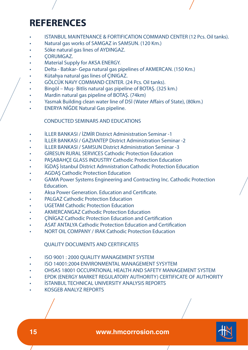- ISTANBUL MAINTENANCE & FORTIFICATION COMMAND CENTER (12 Pcs. Oil tanks).
- Natural gas works of SAMGAZ in SAMSUN. (120 Km.)
- Söke natural gas lines of AYDINGAZ.
- ÇORUMGAZ.
- Material Supply for AKSA ENERGY.
- Delta Batıkar- Gepa natural gas pipelines of AKMERCAN. (150 Km.)
- Kütahya natural gas lines of ÇINIGAZ.
- GÖLCÜK NAVY COMMAND CENTER. (24 Pcs. Oil tanks).
- Bingöl Muş- Bitlis natural gas pipeline of BOTAŞ. (325 km.)
- Mardin natural gas pipeline of BOTAŞ. (74km)
- Yasmak Building clean water line of DSİ (Water Affairs of State), (80km.)
- ENERYA NİĞDE Natural Gas pipeline.

#### CONDUCTED SEMINARS AND EDUCATIONS

- İLLER BANKASI / İZMİR District Administration Seminar -1
- İLLER BANKASI / GAZIANTEP District Administration Seminar -2
- İLLER BANKASI / SAMSUN District Administration Seminar -3
- GİRESUN RURAL SERVICES Cathodic Protection Education
- PAŞABAHÇE GLASS INDUSTRY Cathodic Protection Education
- İGDAŞ İstanbul District Admnistration Cathodic Protection Education
- AGDAŞ Cathodic Protection Education
- GAMA Power Systems Engineering and Contracting Inc. Cathodic Protection Education.
- Aksa Power Generation. Education and Certificate.
- PALGAZ Cathodic Protection Education
- UGETAM Cathodic Protection Education
- AKMERCANGAZ Cathodic Protection Education
- **CINIGAZ Cathodic Protection Education and Certification**
- ASAT ANTALYA Cathodic Protection Education and Certification
- NORT OIL COMPANY / IRAK Cathodic Protection Education

QUALITY DOCUMENTS AND CERTIFICATES

- ISO 9001 : 2000 QUALITY MANAGEMENT SYSTEM
- ISO 14001:2004 ENVIRONMENTAL MANAGEMENT SYSYTEM
- OHSAS 18001 OCCUPATIONAL HEALTH AND SAFETY MANAGEMENT SYSTEM
- EPDK (ENERGY MARKET REGULATORY AUTHORITY) CERTIFICATE OF AUTHORITY
- İSTANBUL TECHNICAL UNIVERSITY ANALYSIS REPORTS
- KOSGEB ANALYZ REPORTS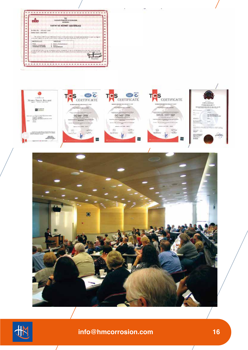